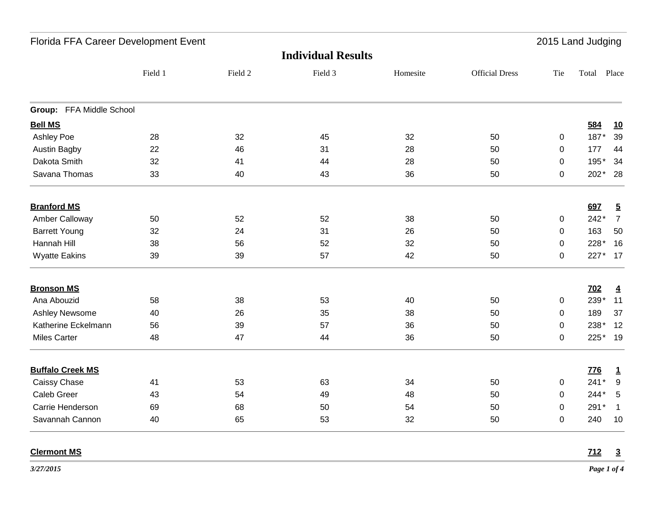| Florida FFA Career Development Event |         |         |         |          |                       | 2015 Land Judging |            |                 |  |
|--------------------------------------|---------|---------|---------|----------|-----------------------|-------------------|------------|-----------------|--|
| <b>Individual Results</b>            |         |         |         |          |                       |                   |            |                 |  |
|                                      | Field 1 | Field 2 | Field 3 | Homesite | <b>Official Dress</b> | Tie               | Total      | Place           |  |
| Group: FFA Middle School             |         |         |         |          |                       |                   |            |                 |  |
| <b>Bell MS</b>                       |         |         |         |          |                       |                   | 584        | <u>10</u>       |  |
| <b>Ashley Poe</b>                    | 28      | 32      | 45      | 32       | 50                    | $\mathbf 0$       | 187*       | 39              |  |
| <b>Austin Bagby</b>                  | 22      | 46      | 31      | 28       | 50                    | 0                 | 177        | 44              |  |
| Dakota Smith                         | 32      | 41      | 44      | 28       | 50                    | 0                 | 195*       | 34              |  |
| Savana Thomas                        | 33      | 40      | 43      | 36       | 50                    | 0                 | $202*$     | - 28            |  |
| <b>Branford MS</b>                   |         |         |         |          |                       |                   | 697        | $\overline{5}$  |  |
| Amber Calloway                       | 50      | 52      | 52      | 38       | 50                    | $\pmb{0}$         | 242*       | $\overline{7}$  |  |
| <b>Barrett Young</b>                 | 32      | 24      | 31      | 26       | 50                    | $\mathbf 0$       | 163        | 50              |  |
| Hannah Hill                          | 38      | 56      | 52      | 32       | 50                    | $\mathbf 0$       | 228*       | 16              |  |
| <b>Wyatte Eakins</b>                 | 39      | 39      | 57      | 42       | 50                    | $\mathbf 0$       |            | 227* 17         |  |
| <b>Bronson MS</b>                    |         |         |         |          |                       |                   | <b>702</b> | $\overline{4}$  |  |
| Ana Abouzid                          | 58      | 38      | 53      | 40       | 50                    | 0                 | 239*       | 11              |  |
| Ashley Newsome                       | 40      | 26      | 35      | 38       | 50                    | 0                 | 189        | 37              |  |
| Katherine Eckelmann                  | 56      | 39      | 57      | 36       | 50                    | $\mathbf 0$       | 238*       | 12              |  |
| <b>Miles Carter</b>                  | 48      | 47      | 44      | 36       | 50                    | $\overline{0}$    | 225*       | 19              |  |
| <b>Buffalo Creek MS</b>              |         |         |         |          |                       |                   | <b>776</b> | $\mathbf{1}$    |  |
| Caissy Chase                         | 41      | 53      | 63      | 34       | 50                    | $\mathbf 0$       | $241*$     | 9               |  |
| Caleb Greer                          | 43      | 54      | 49      | 48       | 50                    | 0                 | 244*       | $5\phantom{.0}$ |  |
| Carrie Henderson                     | 69      | 68      | 50      | 54       | 50                    | $\mathsf 0$       | 291*       | $\overline{1}$  |  |
| Savannah Cannon                      | 40      | 65      | 53      | 32       | 50                    | 0                 | 240        | 10              |  |
|                                      |         |         |         |          |                       |                   |            |                 |  |

## **Clermont MS 712 3**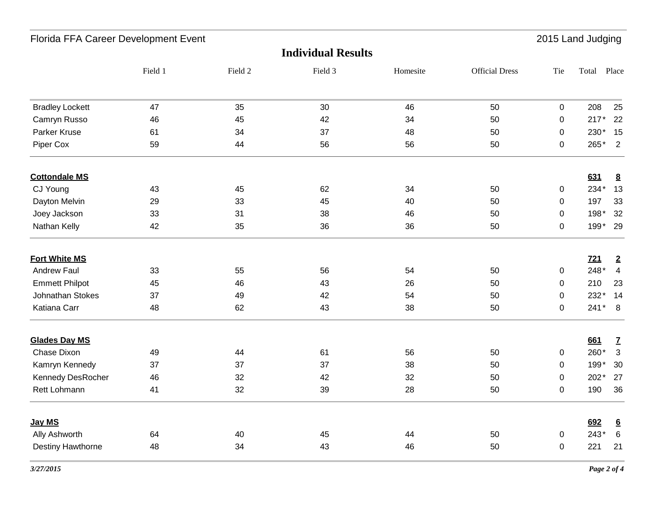| Florida FFA Career Development Event<br>2015 Land Judging |         |         |         |          |                       |             |             |                         |  |
|-----------------------------------------------------------|---------|---------|---------|----------|-----------------------|-------------|-------------|-------------------------|--|
| <b>Individual Results</b>                                 |         |         |         |          |                       |             |             |                         |  |
|                                                           | Field 1 | Field 2 | Field 3 | Homesite | <b>Official Dress</b> | Tie         | Total Place |                         |  |
| <b>Bradley Lockett</b>                                    | 47      | 35      | 30      | 46       | 50                    | $\mathbf 0$ | 208         | 25                      |  |
| Camryn Russo                                              | 46      | 45      | 42      | 34       | 50                    | $\pmb{0}$   | $217*$      | 22                      |  |
| Parker Kruse                                              | 61      | 34      | 37      | 48       | 50                    | $\pmb{0}$   | 230*        | 15                      |  |
| Piper Cox                                                 | 59      | 44      | 56      | 56       | 50                    | $\mathbf 0$ | 265*        | $\overline{\mathbf{2}}$ |  |
| <b>Cottondale MS</b>                                      |         |         |         |          |                       |             | 631         | $\underline{8}$         |  |
| CJ Young                                                  | 43      | 45      | 62      | 34       | 50                    | $\pmb{0}$   | 234*        | 13                      |  |
| Dayton Melvin                                             | 29      | 33      | 45      | 40       | 50                    | $\mathbf 0$ | 197         | 33                      |  |
| Joey Jackson                                              | 33      | 31      | 38      | 46       | 50                    | 0           | 198*        | 32                      |  |
| Nathan Kelly                                              | 42      | 35      | 36      | 36       | 50                    | 0           | 199* 29     |                         |  |
| <b>Fort White MS</b>                                      |         |         |         |          |                       |             | 721         | $\overline{2}$          |  |
| <b>Andrew Faul</b>                                        | 33      | 55      | 56      | 54       | 50                    | $\mathbf 0$ | 248*        | $\overline{4}$          |  |
| <b>Emmett Philpot</b>                                     | 45      | 46      | 43      | 26       | 50                    | $\mathbf 0$ | 210         | 23                      |  |
| <b>Johnathan Stokes</b>                                   | 37      | 49      | 42      | 54       | 50                    | $\mathbf 0$ | 232*        | 14                      |  |
| Katiana Carr                                              | 48      | 62      | 43      | 38       | 50                    | 0           | $241*8$     |                         |  |
| <b>Glades Day MS</b>                                      |         |         |         |          |                       |             | 661         | $\overline{I}$          |  |
| <b>Chase Dixon</b>                                        | 49      | 44      | 61      | 56       | 50                    | $\mathbf 0$ | 260*        | $\mathbf{3}$            |  |
| Kamryn Kennedy                                            | 37      | 37      | 37      | 38       | 50                    | $\mathbf 0$ | 199*        | 30                      |  |
| Kennedy DesRocher                                         | 46      | 32      | 42      | 32       | 50                    | $\mathbf 0$ | 202*        | 27                      |  |
| Rett Lohmann                                              | 41      | 32      | 39      | 28       | 50                    | $\mathsf 0$ | 190         | 36                      |  |
| Jay MS                                                    |         |         |         |          |                       |             | 692         | $6\overline{6}$         |  |
| Ally Ashworth                                             | 64      | 40      | 45      | 44       | 50                    | $\pmb{0}$   | $243*$      | $6\phantom{1}6$         |  |
| Destiny Hawthorne                                         | 48      | 34      | 43      | 46       | 50                    | $\pmb{0}$   | 221         | 21                      |  |
|                                                           |         |         |         |          |                       |             |             |                         |  |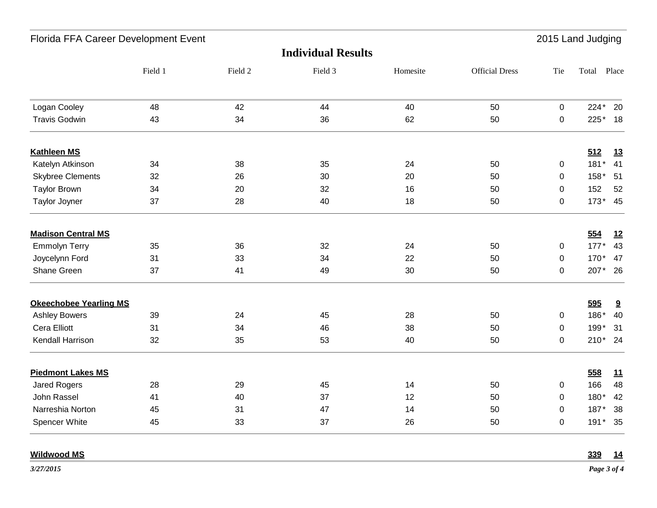| Florida FFA Career Development Event |         |         |         |          |                       | 2015 Land Judging |             |           |
|--------------------------------------|---------|---------|---------|----------|-----------------------|-------------------|-------------|-----------|
| <b>Individual Results</b>            |         |         |         |          |                       |                   |             |           |
|                                      | Field 1 | Field 2 | Field 3 | Homesite | <b>Official Dress</b> | Tie               | Total Place |           |
| Logan Cooley                         | 48      | 42      | 44      | 40       | 50                    | $\pmb{0}$         | 224*        | 20        |
| <b>Travis Godwin</b>                 | 43      | 34      | 36      | 62       | 50                    | $\pmb{0}$         | 225*        | 18        |
| <b>Kathleen MS</b>                   |         |         |         |          |                       |                   | 512         | <u>13</u> |
| Katelyn Atkinson                     | 34      | 38      | 35      | 24       | 50                    | 0                 | $181*$      | 41        |
| <b>Skybree Clements</b>              | 32      | 26      | 30      | 20       | 50                    | 0                 | $158*$      | 51        |
| <b>Taylor Brown</b>                  | 34      | 20      | 32      | 16       | 50                    | 0                 | 152         | 52        |
| <b>Taylor Joyner</b>                 | 37      | 28      | 40      | 18       | 50                    | $\pmb{0}$         |             | 173* 45   |
| <b>Madison Central MS</b>            |         |         |         |          |                       |                   | 554         | 12        |
| <b>Emmolyn Terry</b>                 | 35      | 36      | 32      | 24       | 50                    | 0                 | $177*$      | 43        |
| Joycelynn Ford                       | 31      | 33      | 34      | 22       | 50                    | $\pmb{0}$         | 170*        | 47        |
| Shane Green                          | 37      | 41      | 49      | 30       | 50                    | $\pmb{0}$         |             | 207* 26   |
| <b>Okeechobee Yearling MS</b>        |         |         |         |          |                       |                   | 595         | 9         |
| <b>Ashley Bowers</b>                 | 39      | 24      | 45      | 28       | 50                    | 0                 | 186*        | 40        |
| Cera Elliott                         | 31      | 34      | 46      | 38       | 50                    | $\pmb{0}$         | 199*        | 31        |
| Kendall Harrison                     | 32      | 35      | 53      | 40       | 50                    | $\pmb{0}$         |             | 210* 24   |
| <b>Piedmont Lakes MS</b>             |         |         |         |          |                       |                   | 558         | 11        |
| <b>Jared Rogers</b>                  | 28      | 29      | 45      | 14       | 50                    | $\pmb{0}$         | 166         | 48        |
| John Rassel                          | 41      | 40      | 37      | 12       | 50                    | 0                 | 180*        | 42        |
| Narreshia Norton                     | 45      | 31      | 47      | 14       | 50                    | 0                 | 187*        | 38        |
| Spencer White                        | 45      | 33      | 37      | 26       | 50                    | $\pmb{0}$         | $191*$      | 35        |
| <b>Wildwood MS</b>                   |         |         |         |          |                       |                   | 339         | 14        |